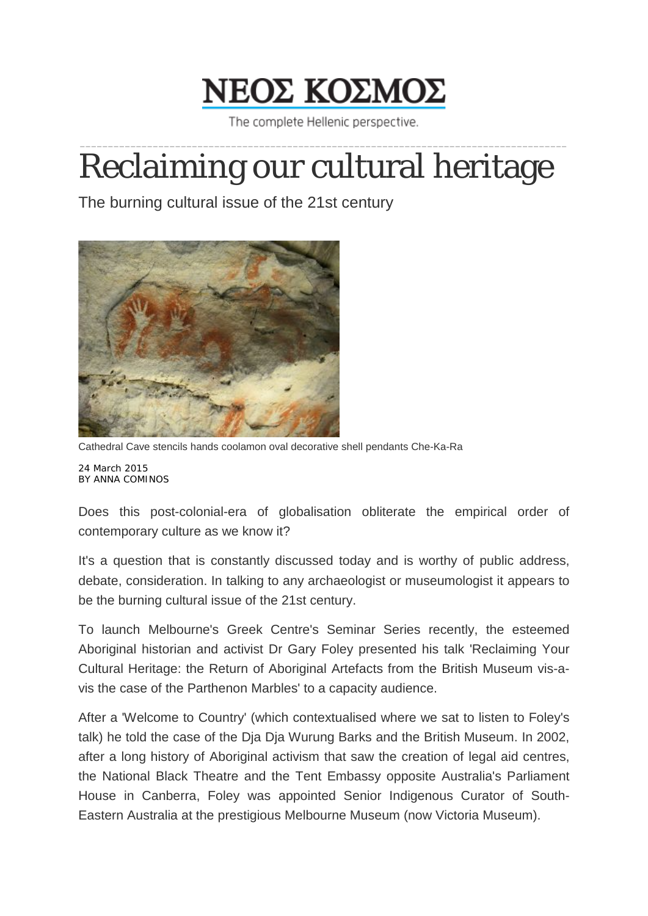

The complete Hellenic perspective.

## \_\_\_\_\_\_\_\_\_\_\_\_\_\_\_\_\_\_\_\_\_\_\_\_\_\_\_\_\_\_\_\_\_\_\_\_\_\_\_\_\_\_\_\_\_\_\_\_\_\_\_\_\_\_\_\_\_\_\_\_\_\_\_\_\_\_\_\_\_\_\_\_\_\_\_\_\_\_\_\_\_\_\_\_\_\_\_ Reclaiming our cultural heritage

The burning cultural issue of the 21st century



Cathedral Cave stencils hands coolamon oval decorative shell pendants Che-Ka-Ra 24 March 2015

BY ANNA COMINOS

Does this post-colonial-era of globalisation obliterate the empirical order of contemporary culture as we know it?

It's a question that is constantly discussed today and is worthy of public address, debate, consideration. In talking to any archaeologist or museumologist it appears to be the burning cultural issue of the 21st century.

To launch Melbourne's Greek Centre's Seminar Series recently, the esteemed Aboriginal historian and activist Dr Gary Foley presented his talk 'Reclaiming Your Cultural Heritage: the Return of Aboriginal Artefacts from the British Museum vis-avis the case of the Parthenon Marbles' to a capacity audience.

After a 'Welcome to Country' (which contextualised where we sat to listen to Foley's talk) he told the case of the Dja Dja Wurung Barks and the British Museum. In 2002, after a long history of Aboriginal activism that saw the creation of legal aid centres, the National Black Theatre and the Tent Embassy opposite Australia's Parliament House in Canberra, Foley was appointed Senior Indigenous Curator of South-Eastern Australia at the prestigious Melbourne Museum (now Victoria Museum).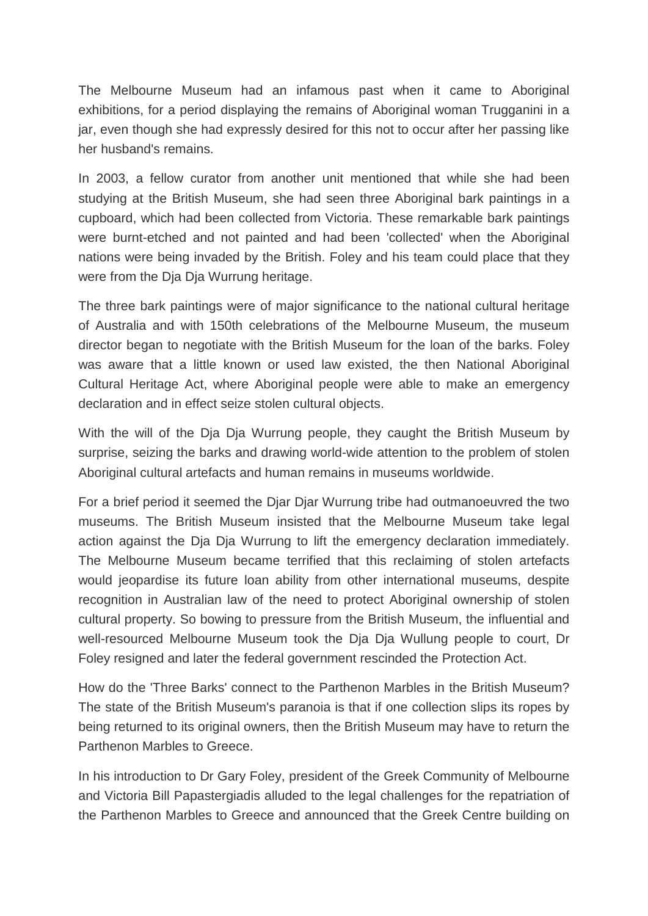The Melbourne Museum had an infamous past when it came to Aboriginal exhibitions, for a period displaying the remains of Aboriginal woman Trugganini in a jar, even though she had expressly desired for this not to occur after her passing like her husband's remains.

In 2003, a fellow curator from another unit mentioned that while she had been studying at the British Museum, she had seen three Aboriginal bark paintings in a cupboard, which had been collected from Victoria. These remarkable bark paintings were burnt-etched and not painted and had been 'collected' when the Aboriginal nations were being invaded by the British. Foley and his team could place that they were from the Dja Dja Wurrung heritage.

The three bark paintings were of major significance to the national cultural heritage of Australia and with 150th celebrations of the Melbourne Museum, the museum director began to negotiate with the British Museum for the loan of the barks. Foley was aware that a little known or used law existed, the then National Aboriginal Cultural Heritage Act, where Aboriginal people were able to make an emergency declaration and in effect seize stolen cultural objects.

With the will of the Dja Dja Wurrung people, they caught the British Museum by surprise, seizing the barks and drawing world-wide attention to the problem of stolen Aboriginal cultural artefacts and human remains in museums worldwide.

For a brief period it seemed the Djar Djar Wurrung tribe had outmanoeuvred the two museums. The British Museum insisted that the Melbourne Museum take legal action against the Dja Dja Wurrung to lift the emergency declaration immediately. The Melbourne Museum became terrified that this reclaiming of stolen artefacts would jeopardise its future loan ability from other international museums, despite recognition in Australian law of the need to protect Aboriginal ownership of stolen cultural property. So bowing to pressure from the British Museum, the influential and well-resourced Melbourne Museum took the Dja Dja Wullung people to court, Dr Foley resigned and later the federal government rescinded the Protection Act.

How do the 'Three Barks' connect to the Parthenon Marbles in the British Museum? The state of the British Museum's paranoia is that if one collection slips its ropes by being returned to its original owners, then the British Museum may have to return the Parthenon Marbles to Greece.

In his introduction to Dr Gary Foley, president of the Greek Community of Melbourne and Victoria Bill Papastergiadis alluded to the legal challenges for the repatriation of the Parthenon Marbles to Greece and announced that the Greek Centre building on